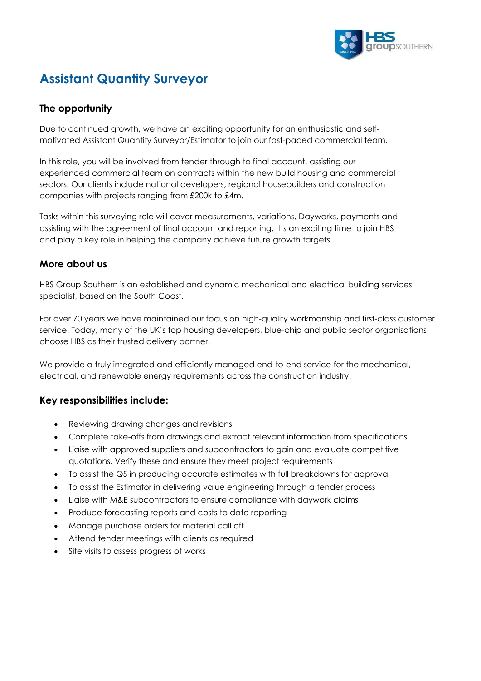

# **Assistant Quantity Surveyor**

# **The opportunity**

Due to continued growth, we have an exciting opportunity for an enthusiastic and selfmotivated Assistant Quantity Surveyor/Estimator to join our fast-paced commercial team.

In this role, you will be involved from tender through to final account, assisting our experienced commercial team on contracts within the new build housing and commercial sectors. Our clients include national developers, regional housebuilders and construction companies with projects ranging from £200k to £4m.

Tasks within this surveying role will cover measurements, variations, Dayworks, payments and assisting with the agreement of final account and reporting. It's an exciting time to join HBS and play a key role in helping the company achieve future growth targets.

### **More about us**

HBS Group Southern is an established and dynamic mechanical and electrical building services specialist, based on the South Coast.

For over 70 years we have maintained our focus on high-quality workmanship and first-class customer service. Today, many of the UK's top housing developers, blue-chip and public sector organisations choose HBS as their trusted delivery partner.

We provide a truly integrated and efficiently managed end-to-end service for the mechanical, electrical, and renewable energy requirements across the construction industry.

## **Key responsibilities include:**

- Reviewing drawing changes and revisions
- Complete take-offs from drawings and extract relevant information from specifications
- Liaise with approved suppliers and subcontractors to gain and evaluate competitive quotations. Verify these and ensure they meet project requirements
- To assist the QS in producing accurate estimates with full breakdowns for approval
- To assist the Estimator in delivering value engineering through a tender process
- Liaise with M&E subcontractors to ensure compliance with daywork claims
- Produce forecasting reports and costs to date reporting
- Manage purchase orders for material call off
- Attend tender meetings with clients as required
- Site visits to assess progress of works